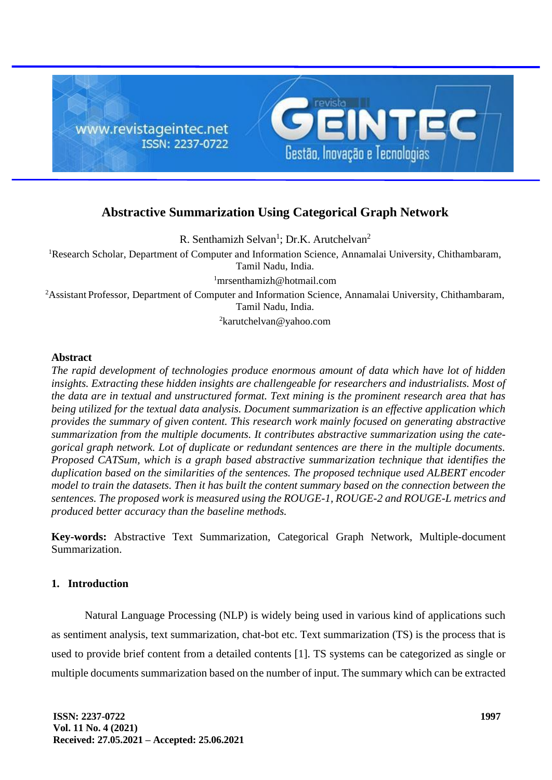

# **Abstractive Summarization Using Categorical Graph Network**

R. Senthamizh Selvan<sup>1</sup>; Dr.K. Arutchelvan<sup>2</sup>

<sup>1</sup>Research Scholar, Department of Computer and Information Science, Annamalai University, Chithambaram, Tamil Nadu, India.

 $\frac{1}{2}$ [mrsenthamizh@hotmail.com](mailto:mrsenthamizh@hotmail.com)

<sup>2</sup>Assistant Professor, Department of Computer and Information Science, Annamalai University, Chithambaram, Tamil Nadu, India.

<sup>2</sup>karutchelvan@yahoo.com

#### **Abstract**

*The rapid development of technologies produce enormous amount of data which have lot of hidden insights. Extracting these hidden insights are challengeable for researchers and industrialists. Most of the data are in textual and unstructured format. Text mining is the prominent research area that has being utilized for the textual data analysis. Document summarization is an effective application which provides the summary of given content. This research work mainly focused on generating abstractive summarization from the multiple documents. It contributes abstractive summarization using the categorical graph network. Lot of duplicate or redundant sentences are there in the multiple documents. Proposed CATSum, which is a graph based abstractive summarization technique that identifies the duplication based on the similarities of the sentences. The proposed technique used ALBERT encoder model to train the datasets. Then it has built the content summary based on the connection between the sentences. The proposed work is measured using the ROUGE-1, ROUGE-2 and ROUGE-L metrics and produced better accuracy than the baseline methods.*

**Key-words:** Abstractive Text Summarization, Categorical Graph Network, Multiple-document Summarization.

# **1. Introduction**

Natural Language Processing (NLP) is widely being used in various kind of applications such as sentiment analysis, text summarization, chat-bot etc. Text summarization (TS) is the process that is used to provide brief content from a detailed contents [1]. TS systems can be categorized as single or multiple documents summarization based on the number of input. The summary which can be extracted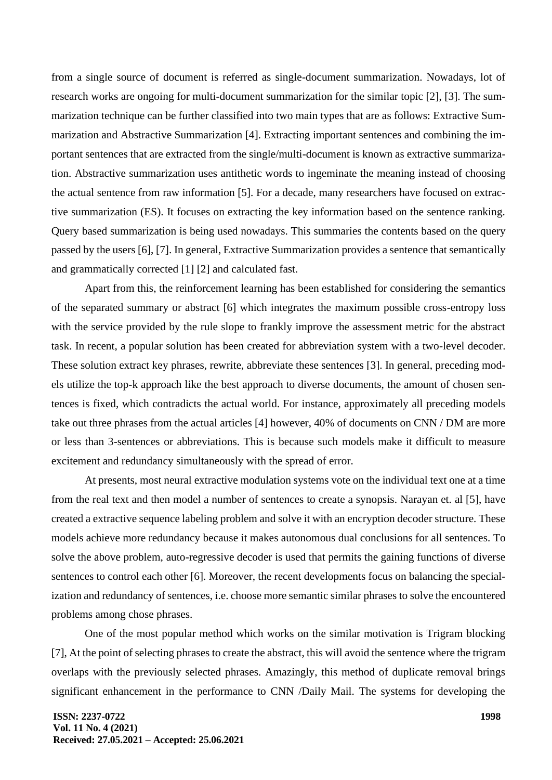from a single source of document is referred as single-document summarization. Nowadays, lot of research works are ongoing for multi-document summarization for the similar topic [2], [3]. The summarization technique can be further classified into two main types that are as follows: Extractive Summarization and Abstractive Summarization [4]. Extracting important sentences and combining the important sentences that are extracted from the single/multi-document is known as extractive summarization. Abstractive summarization uses antithetic words to ingeminate the meaning instead of choosing the actual sentence from raw information [5]. For a decade, many researchers have focused on extractive summarization (ES). It focuses on extracting the key information based on the sentence ranking. Query based summarization is being used nowadays. This summaries the contents based on the query passed by the users [6], [7]. In general, Extractive Summarization provides a sentence that semantically and grammatically corrected [1] [2] and calculated fast.

Apart from this, the reinforcement learning has been established for considering the semantics of the separated summary or abstract [6] which integrates the maximum possible cross-entropy loss with the service provided by the rule slope to frankly improve the assessment metric for the abstract task. In recent, a popular solution has been created for abbreviation system with a two-level decoder. These solution extract key phrases, rewrite, abbreviate these sentences [3]. In general, preceding models utilize the top-k approach like the best approach to diverse documents, the amount of chosen sentences is fixed, which contradicts the actual world. For instance, approximately all preceding models take out three phrases from the actual articles [4] however, 40% of documents on CNN / DM are more or less than 3-sentences or abbreviations. This is because such models make it difficult to measure excitement and redundancy simultaneously with the spread of error.

At presents, most neural extractive modulation systems vote on the individual text one at a time from the real text and then model a number of sentences to create a synopsis. Narayan et. al [5], have created a extractive sequence labeling problem and solve it with an encryption decoder structure. These models achieve more redundancy because it makes autonomous dual conclusions for all sentences. To solve the above problem, auto-regressive decoder is used that permits the gaining functions of diverse sentences to control each other [6]. Moreover, the recent developments focus on balancing the specialization and redundancy of sentences, i.e. choose more semantic similar phrases to solve the encountered problems among chose phrases.

One of the most popular method which works on the similar motivation is Trigram blocking [7], At the point of selecting phrases to create the abstract, this will avoid the sentence where the trigram overlaps with the previously selected phrases. Amazingly, this method of duplicate removal brings significant enhancement in the performance to CNN /Daily Mail. The systems for developing the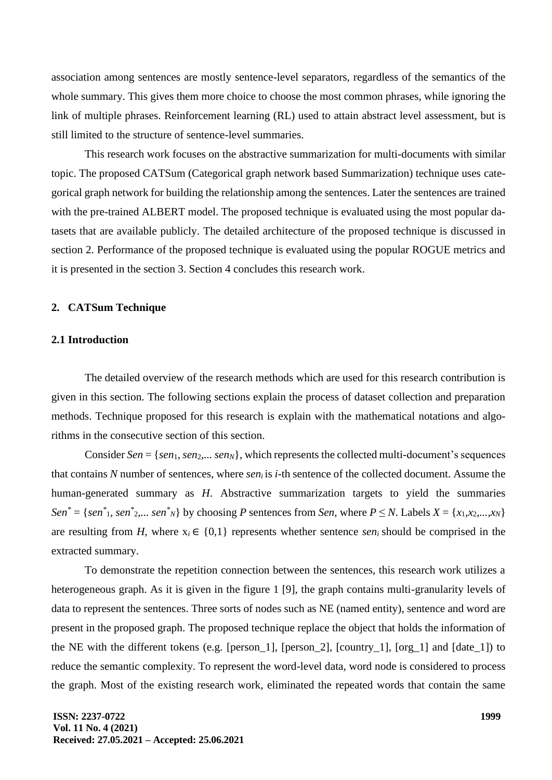association among sentences are mostly sentence-level separators, regardless of the semantics of the whole summary. This gives them more choice to choose the most common phrases, while ignoring the link of multiple phrases. Reinforcement learning (RL) used to attain abstract level assessment, but is still limited to the structure of sentence-level summaries.

This research work focuses on the abstractive summarization for multi-documents with similar topic. The proposed CATSum (Categorical graph network based Summarization) technique uses categorical graph network for building the relationship among the sentences. Later the sentences are trained with the pre-trained ALBERT model. The proposed technique is evaluated using the most popular datasets that are available publicly. The detailed architecture of the proposed technique is discussed in section 2. Performance of the proposed technique is evaluated using the popular ROGUE metrics and it is presented in the section 3. Section 4 concludes this research work.

#### **2. CATSum Technique**

#### **2.1 Introduction**

The detailed overview of the research methods which are used for this research contribution is given in this section. The following sections explain the process of dataset collection and preparation methods. Technique proposed for this research is explain with the mathematical notations and algorithms in the consecutive section of this section.

Consider  $Sen = \{sen_1, sen_2, \ldots sen_N\}$ , which represents the collected multi-document's sequences that contains *N* number of sentences, where *seni* is *i*-th sentence of the collected document. Assume the human-generated summary as *H*. Abstractive summarization targets to yield the summaries  $Sen^* = \{sen^*_{1}, sen^*_{2}, \dots sen^*_{N}\}$  by choosing P sentences from Sen, where  $P \leq N$ . Labels  $X = \{x_1, x_2, ..., x_N\}$ are resulting from *H*, where  $x_i \in \{0,1\}$  represents whether sentence *sen<sub>i</sub>* should be comprised in the extracted summary.

To demonstrate the repetition connection between the sentences, this research work utilizes a heterogeneous graph. As it is given in the figure 1 [9], the graph contains multi-granularity levels of data to represent the sentences. Three sorts of nodes such as NE (named entity), sentence and word are present in the proposed graph. The proposed technique replace the object that holds the information of the NE with the different tokens (e.g. [person\_1], [person\_2], [country\_1], [org\_1] and [date\_1]) to reduce the semantic complexity. To represent the word-level data, word node is considered to process the graph. Most of the existing research work, eliminated the repeated words that contain the same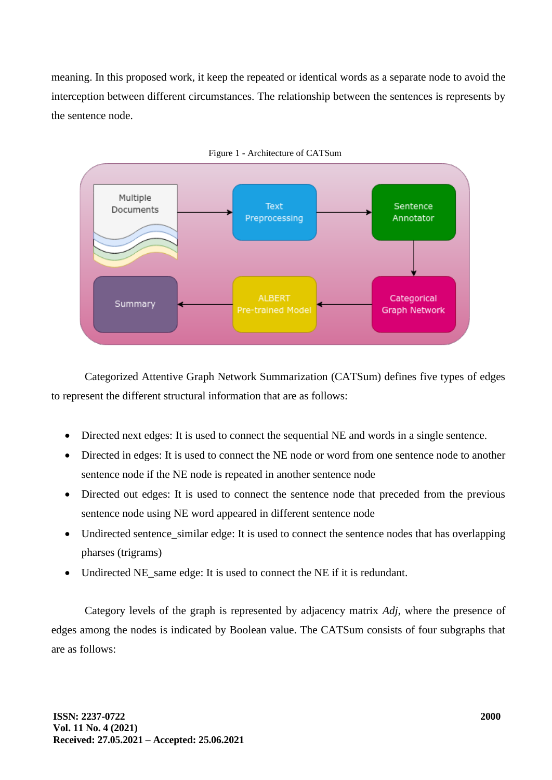meaning. In this proposed work, it keep the repeated or identical words as a separate node to avoid the interception between different circumstances. The relationship between the sentences is represents by the sentence node.



Categorized Attentive Graph Network Summarization (CATSum) defines five types of edges to represent the different structural information that are as follows:

- Directed next edges: It is used to connect the sequential NE and words in a single sentence.
- Directed in edges: It is used to connect the NE node or word from one sentence node to another sentence node if the NE node is repeated in another sentence node
- Directed out edges: It is used to connect the sentence node that preceded from the previous sentence node using NE word appeared in different sentence node
- Undirected sentence similar edge: It is used to connect the sentence nodes that has overlapping pharses (trigrams)
- Undirected NE\_same edge: It is used to connect the NE if it is redundant.

Category levels of the graph is represented by adjacency matrix *Adj*, where the presence of edges among the nodes is indicated by Boolean value. The CATSum consists of four subgraphs that are as follows: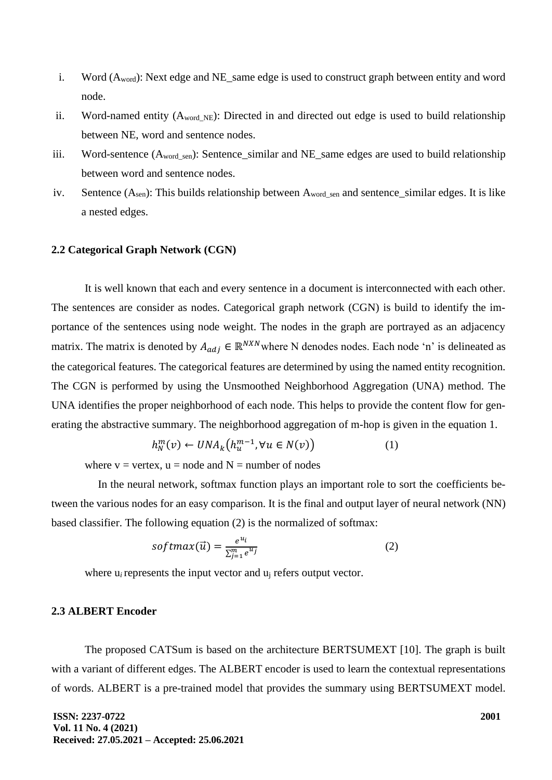- i. Word  $(A_{word})$ : Next edge and NE same edge is used to construct graph between entity and word node.
- ii. Word-named entity  $(A_{word NE})$ : Directed in and directed out edge is used to build relationship between NE, word and sentence nodes.
- iii. Word-sentence  $(A_{wordgen})$ : Sentence\_similar and NE\_same edges are used to build relationship between word and sentence nodes.
- iv. Sentence  $(A<sub>sen</sub>)$ : This builds relationship between  $A<sub>word sen</sub>$  and sentence similar edges. It is like a nested edges.

#### **2.2 Categorical Graph Network (CGN)**

It is well known that each and every sentence in a document is interconnected with each other. The sentences are consider as nodes. Categorical graph network (CGN) is build to identify the importance of the sentences using node weight. The nodes in the graph are portrayed as an adjacency matrix. The matrix is denoted by  $A_{adj} \in \mathbb{R}^{N X N}$  where N denodes nodes. Each node 'n' is delineated as the categorical features. The categorical features are determined by using the named entity recognition. The CGN is performed by using the Unsmoothed Neighborhood Aggregation (UNA) method. The UNA identifies the proper neighborhood of each node. This helps to provide the content flow for generating the abstractive summary. The neighborhood aggregation of m-hop is given in the equation 1.

$$
h_N^m(v) \leftarrow UNA_k\big(h_u^{m-1}, \forall u \in N(v)\big) \tag{1}
$$

where  $v =$  vertex,  $u =$  node and  $N =$  number of nodes

In the neural network, softmax function plays an important role to sort the coefficients between the various nodes for an easy comparison. It is the final and output layer of neural network (NN) based classifier. The following equation (2) is the normalized of softmax:

$$
softmax(\vec{u}) = \frac{e^{u_i}}{\sum_{j=1}^{m} e^{u_j}}
$$
 (2)

where  $u_i$  represents the input vector and  $u_i$  refers output vector.

#### **2.3 ALBERT Encoder**

The proposed CATSum is based on the architecture BERTSUMEXT [10]. The graph is built with a variant of different edges. The ALBERT encoder is used to learn the contextual representations of words. ALBERT is a pre-trained model that provides the summary using BERTSUMEXT model.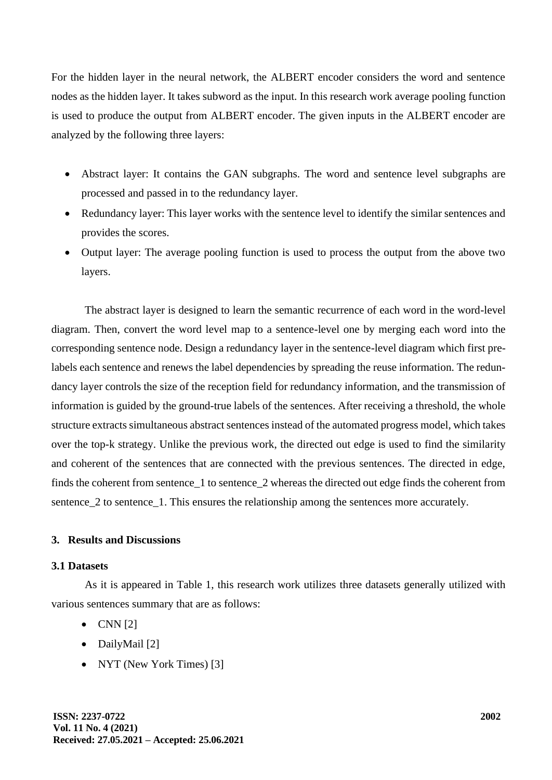For the hidden layer in the neural network, the ALBERT encoder considers the word and sentence nodes as the hidden layer. It takes subword as the input. In this research work average pooling function is used to produce the output from ALBERT encoder. The given inputs in the ALBERT encoder are analyzed by the following three layers:

- Abstract layer: It contains the GAN subgraphs. The word and sentence level subgraphs are processed and passed in to the redundancy layer.
- Redundancy layer: This layer works with the sentence level to identify the similar sentences and provides the scores.
- Output layer: The average pooling function is used to process the output from the above two layers.

The abstract layer is designed to learn the semantic recurrence of each word in the word-level diagram. Then, convert the word level map to a sentence-level one by merging each word into the corresponding sentence node. Design a redundancy layer in the sentence-level diagram which first prelabels each sentence and renews the label dependencies by spreading the reuse information. The redundancy layer controls the size of the reception field for redundancy information, and the transmission of information is guided by the ground-true labels of the sentences. After receiving a threshold, the whole structure extracts simultaneous abstract sentences instead of the automated progress model, which takes over the top-k strategy. Unlike the previous work, the directed out edge is used to find the similarity and coherent of the sentences that are connected with the previous sentences. The directed in edge, finds the coherent from sentence\_1 to sentence\_2 whereas the directed out edge finds the coherent from sentence 2 to sentence 1. This ensures the relationship among the sentences more accurately.

# **3. Results and Discussions**

# **3.1 Datasets**

As it is appeared in Table 1, this research work utilizes three datasets generally utilized with various sentences summary that are as follows:

- $\bullet$  CNN [2]
- DailyMail [2]
- NYT (New York Times) [3]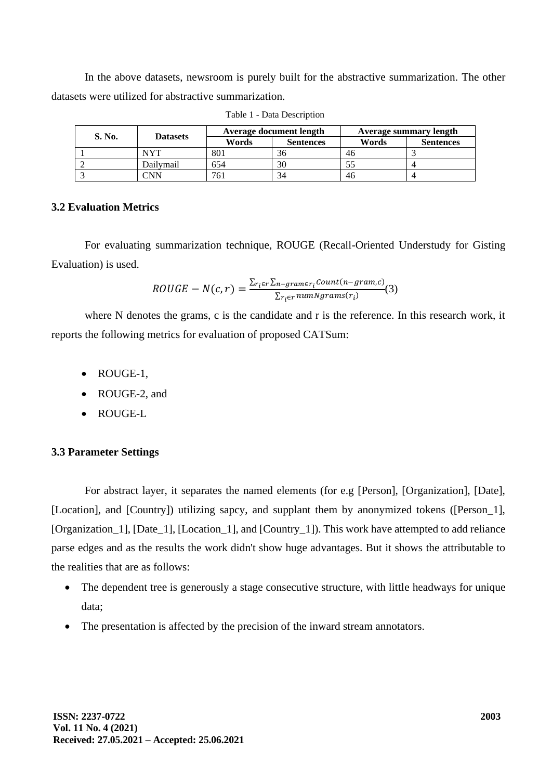In the above datasets, newsroom is purely built for the abstractive summarization. The other datasets were utilized for abstractive summarization.

| S. No. | <b>Datasets</b> | Average document length |                  | <b>Average summary length</b> |                  |
|--------|-----------------|-------------------------|------------------|-------------------------------|------------------|
|        |                 | Words                   | <b>Sentences</b> | Words                         | <b>Sentences</b> |
|        | NYT             | 801                     | 36               | 46                            |                  |
|        | Dailvmail       | 654                     | 30               |                               |                  |
|        | 'NN             | 761                     | 34               | 46                            |                  |

Table 1 - Data Description

# **3.2 Evaluation Metrics**

For evaluating summarization technique, ROUGE (Recall-Oriented Understudy for Gisting Evaluation) is used.

$$
ROUGE - N(c,r) = \frac{\sum_{r_i \in r} \sum_{n-gram \in r_i} count(n-gram, c)}{\sum_{r_i \in r} numNgrams(r_i)}(3)
$$

where N denotes the grams, c is the candidate and r is the reference. In this research work, it reports the following metrics for evaluation of proposed CATSum:

- ROUGE-1,
- ROUGE-2, and
- ROUGE-L

# **3.3 Parameter Settings**

For abstract layer, it separates the named elements (for e.g [Person], [Organization], [Date], [Location], and [Country]) utilizing sapcy, and supplant them by anonymized tokens ([Person\_1], [Organization\_1], [Date\_1], [Location\_1], and [Country\_1]). This work have attempted to add reliance parse edges and as the results the work didn't show huge advantages. But it shows the attributable to the realities that are as follows:

- The dependent tree is generously a stage consecutive structure, with little headways for unique data;
- The presentation is affected by the precision of the inward stream annotators.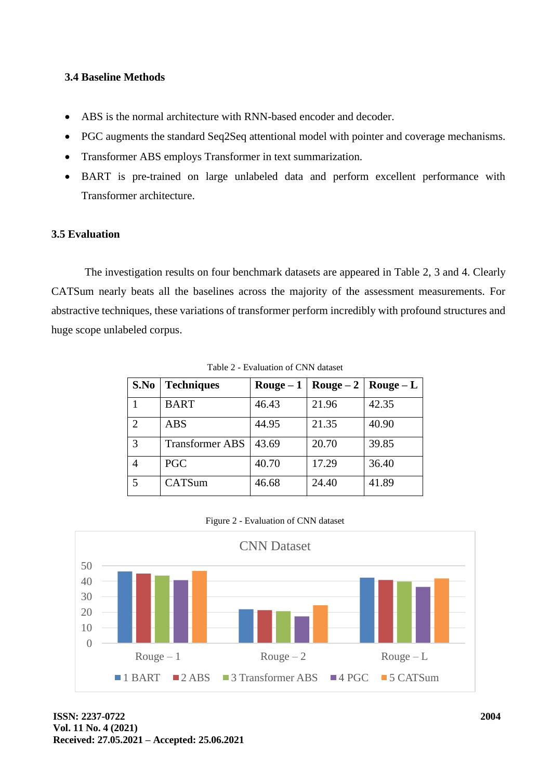# **3.4 Baseline Methods**

- ABS is the normal architecture with RNN-based encoder and decoder.
- PGC augments the standard Seq2Seq attentional model with pointer and coverage mechanisms.
- Transformer ABS employs Transformer in text summarization.
- BART is pre-trained on large unlabeled data and perform excellent performance with Transformer architecture.

# **3.5 Evaluation**

The investigation results on four benchmark datasets are appeared in Table 2, 3 and 4. Clearly CATSum nearly beats all the baselines across the majority of the assessment measurements. For abstractive techniques, these variations of transformer perform incredibly with profound structures and huge scope unlabeled corpus.

| S.No           | <b>Techniques</b>      | $\bf{Rouge}-1$ |       | Rouge $-2$   Rouge $-$ L |  |
|----------------|------------------------|----------------|-------|--------------------------|--|
|                | <b>BART</b>            | 46.43          | 21.96 | 42.35                    |  |
| $\mathfrak{D}$ | <b>ABS</b>             | 44.95          | 21.35 | 40.90                    |  |
| 3              | <b>Transformer ABS</b> | 43.69          | 20.70 | 39.85                    |  |
| 4              | <b>PGC</b>             | 40.70          | 17.29 | 36.40                    |  |
| 5              | CATSum                 | 46.68          | 24.40 | 41.89                    |  |

Table 2 - Evaluation of CNN dataset

|  | Figure 2 - Evaluation of CNN dataset |  |  |
|--|--------------------------------------|--|--|
|  |                                      |  |  |

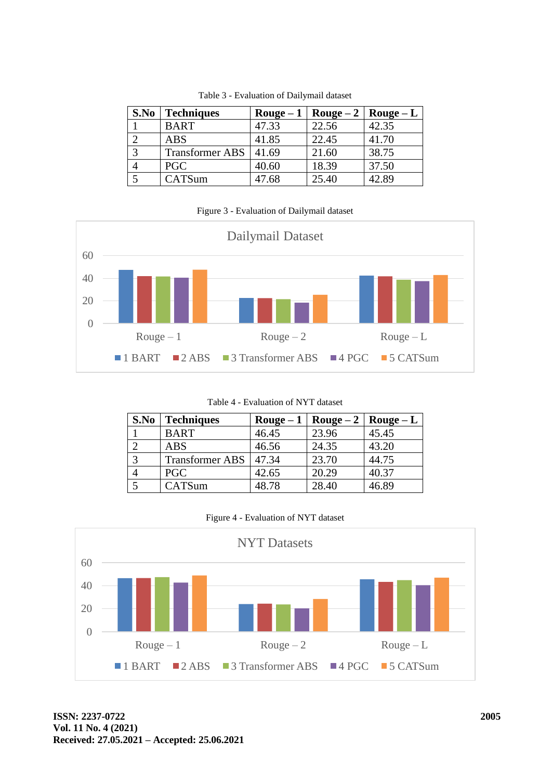| S.No | <b>Techniques</b>      | Rouge $-1$ | Rouge $-2$ | Rouge $-L$ |  |
|------|------------------------|------------|------------|------------|--|
|      | <b>BART</b>            | 47.33      | 22.56      | 42.35      |  |
|      | <b>ABS</b>             | 41.85      | 22.45      | 41.70      |  |
|      | <b>Transformer ABS</b> | 41.69      | 21.60      | 38.75      |  |
|      | <b>PGC</b>             | 40.60      | 18.39      | 37.50      |  |
|      | CATSum                 | 47.68      | 25.40      | 42.89      |  |

Table 3 - Evaluation of Dailymail dataset

#### Figure 3 - Evaluation of Dailymail dataset



Table 4 - Evaluation of NYT dataset

| S.No | <b>Techniques</b>      |       | Rouge – 1   Rouge – 2   Rouge – L |       |
|------|------------------------|-------|-----------------------------------|-------|
|      | <b>BART</b>            | 46.45 | 23.96                             | 45.45 |
|      | <b>ABS</b>             | 46.56 | 24.35                             | 43.20 |
|      | <b>Transformer ABS</b> | 47.34 | 23.70                             | 44.75 |
|      | <b>PGC</b>             | 42.65 | 20.29                             | 40.37 |
|      | CATSum                 | 48.78 | 28.40                             | 46.89 |

|  |  | Figure 4 - Evaluation of NYT dataset |  |  |  |
|--|--|--------------------------------------|--|--|--|
|--|--|--------------------------------------|--|--|--|

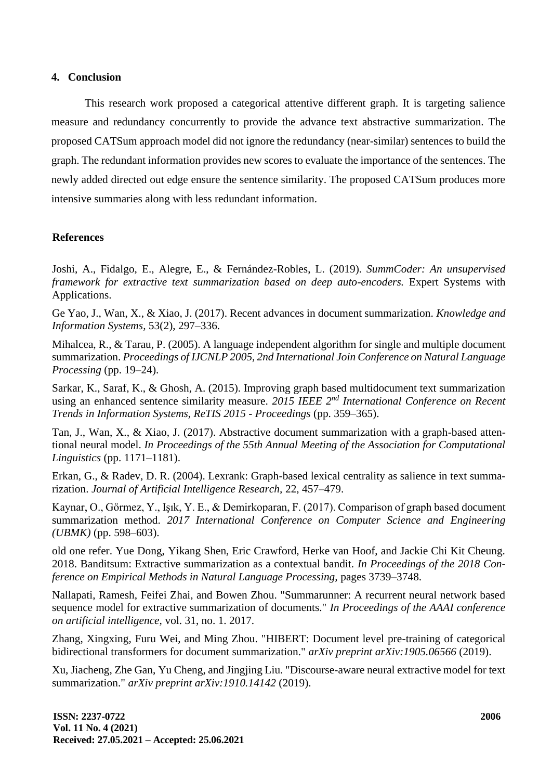#### **4. Conclusion**

This research work proposed a categorical attentive different graph. It is targeting salience measure and redundancy concurrently to provide the advance text abstractive summarization. The proposed CATSum approach model did not ignore the redundancy (near-similar) sentences to build the graph. The redundant information provides new scores to evaluate the importance of the sentences. The newly added directed out edge ensure the sentence similarity. The proposed CATSum produces more intensive summaries along with less redundant information.

# **References**

Joshi, A., Fidalgo, E., Alegre, E., & Fernández-Robles, L. (2019). *SummCoder: An unsupervised framework for extractive text summarization based on deep auto-encoders.* Expert Systems with Applications.

Ge Yao, J., Wan, X., & Xiao, J. (2017). Recent advances in document summarization. *Knowledge and Information Systems,* 53(2), 297–336.

Mihalcea, R., & Tarau, P. (2005). A language independent algorithm for single and multiple document summarization. *Proceedings of IJCNLP 2005, 2nd International Join Conference on Natural Language Processing* (pp. 19–24).

Sarkar, K., Saraf, K., & Ghosh, A. (2015). Improving graph based multidocument text summarization using an enhanced sentence similarity measure. *2015 IEEE 2nd International Conference on Recent Trends in Information Systems, ReTIS 2015 - Proceedings* (pp. 359–365).

Tan, J., Wan, X., & Xiao, J. (2017). Abstractive document summarization with a graph-based attentional neural model. *In Proceedings of the 55th Annual Meeting of the Association for Computational Linguistics* (pp. 1171–1181).

Erkan, G., & Radev, D. R. (2004). Lexrank: Graph-based lexical centrality as salience in text summarization. *Journal of Artificial Intelligence Research,* 22, 457–479.

Kaynar, O., Görmez, Y., Işık, Y. E., & Demirkoparan, F. (2017). Comparison of graph based document summarization method. *2017 International Conference on Computer Science and Engineering (UBMK)* (pp. 598–603).

old one refer. Yue Dong, Yikang Shen, Eric Crawford, Herke van Hoof, and Jackie Chi Kit Cheung. 2018. Banditsum: Extractive summarization as a contextual bandit. *In Proceedings of the 2018 Conference on Empirical Methods in Natural Language Processing,* pages 3739–3748.

Nallapati, Ramesh, Feifei Zhai, and Bowen Zhou. "Summarunner: A recurrent neural network based sequence model for extractive summarization of documents." *In Proceedings of the AAAI conference on artificial intelligence,* vol. 31, no. 1. 2017.

Zhang, Xingxing, Furu Wei, and Ming Zhou. "HIBERT: Document level pre-training of categorical bidirectional transformers for document summarization." *arXiv preprint arXiv:1905.06566* (2019).

Xu, Jiacheng, Zhe Gan, Yu Cheng, and Jingjing Liu. "Discourse-aware neural extractive model for text summarization." *arXiv preprint arXiv:1910.14142* (2019).